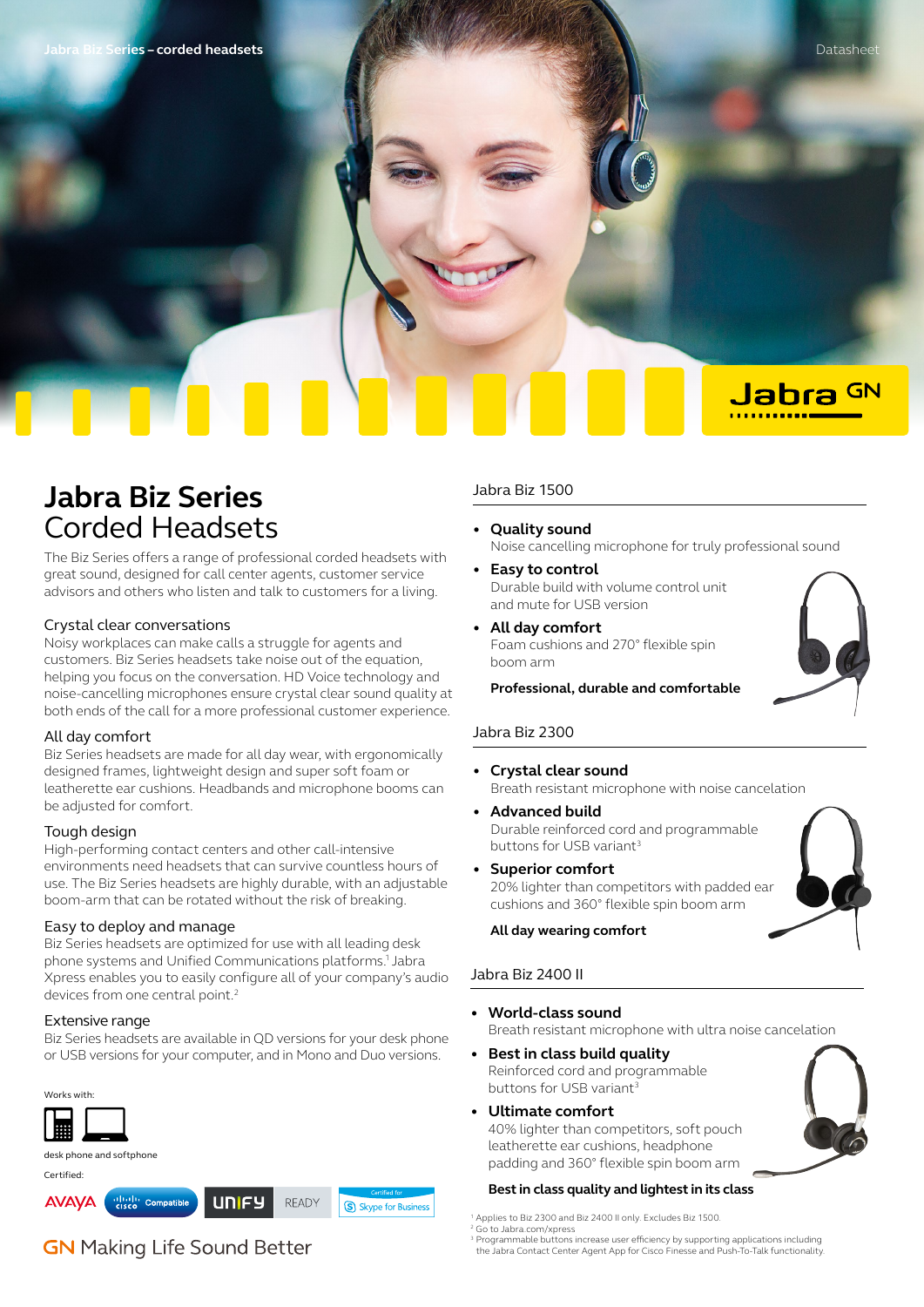# **Jabra Biz Series** Corded Headsets

The Biz Series offers a range of professional corded headsets with great sound, designed for call center agents, customer service advisors and others who listen and talk to customers for a living.

#### Crystal clear conversations

Noisy workplaces can make calls a struggle for agents and customers. Biz Series headsets take noise out of the equation, helping you focus on the conversation. HD Voice technology and noise-cancelling microphones ensure crystal clear sound quality at both ends of the call for a more professional customer experience.

#### All day comfort

Biz Series headsets are made for all day wear, with ergonomically designed frames, lightweight design and super soft foam or leatherette ear cushions. Headbands and microphone booms can be adjusted for comfort.

### Tough design

High-performing contact centers and other call-intensive environments need headsets that can survive countless hours of use. The Biz Series headsets are highly durable, with an adjustable boom-arm that can be rotated without the risk of breaking.

#### Easy to deploy and manage

Biz Series headsets are optimized for use with all leading desk phone systems and Unified Communications platforms.1 Jabra Xpress enables you to easily configure all of your company's audio devices from one central point.<sup>2</sup>

#### Extensive range

Biz Series headsets are available in QD versions for your desk phone or USB versions for your computer, and in Mono and Duo versions.



# **GN** Making Life Sound Better

#### Jabra Biz 1500

- **Quality sound** Noise cancelling microphone for truly professional sound
- **Easy to control** Durable build with volume control unit and mute for USB version
- **All day comfort** Foam cushions and 270° flexible spin boom arm

**Professional, durable and comfortable**

#### Jabra Biz 2300

- **Crystal clear sound** Breath resistant microphone with noise cancelation
- **Advanced build** Durable reinforced cord and programmable buttons for USB variant3
- **Superior comfort** 20% lighter than competitors with padded ear cushions and 360° flexible spin boom arm

#### **All day wearing comfort**

## Jabra Biz 2400 II

- **World-class sound** Breath resistant microphone with ultra noise cancelation
- **Best in class build quality** Reinforced cord and programmable buttons for USB variant<sup>3</sup>
- **Ultimate comfort**

40% lighter than competitors, soft pouch leatherette ear cushions, headphone padding and 360° flexible spin boom arm

#### **Best in class quality and lightest in its class**

1 Applies to Biz 2300 and Biz 2400 II only. Excludes Biz 1500.

Go to Jabra.com/xpress

<sup>3</sup> Programmable buttons increase user efficiency by supporting applications including the Jabra Contact Center Agent App for Cisco Finesse and Push-To-Talk functionality.



Jabra GN